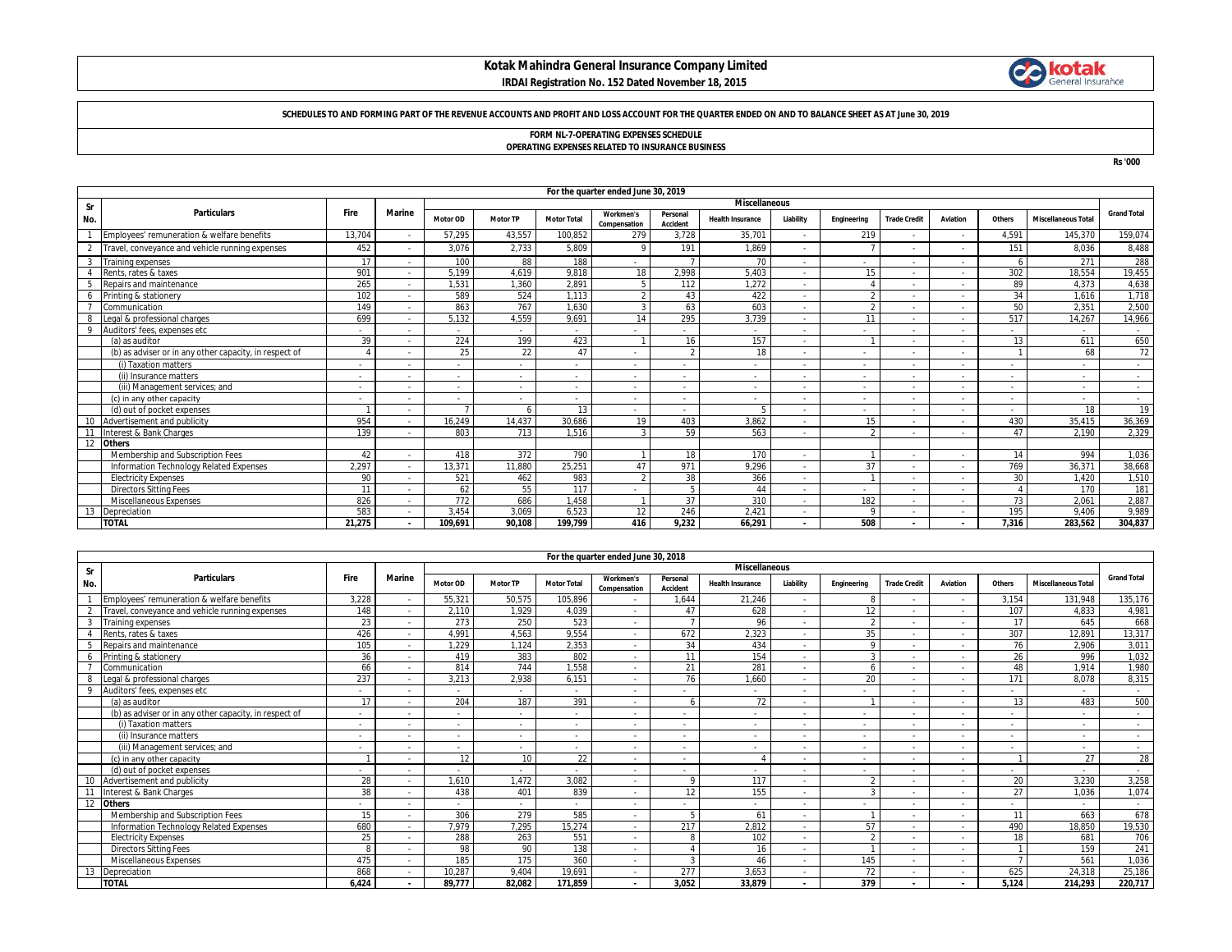# **Kotak Mahindra General Insurance Company Limited IRDAI Registration No. 152 Dated November 18, 2015**



### **SCHEDULES TO AND FORMING PART OF THE REVENUE ACCOUNTS AND PROFIT AND LOSS ACCOUNT FOR THE QUARTER ENDED ON AND TO BALANCE SHEET AS AT June 30, 2019**

### **FORM NL-7-OPERATING EXPENSES SCHEDULE OPERATING EXPENSES RELATED TO INSURANCE BUSINESS**

**Rs '000**

|     | For the quarter ended June 30, 2019                    |                                   |               |          |                 |                    |                                  |                      |                         |              |             |                     |                 |        |                            |                    |
|-----|--------------------------------------------------------|-----------------------------------|---------------|----------|-----------------|--------------------|----------------------------------|----------------------|-------------------------|--------------|-------------|---------------------|-----------------|--------|----------------------------|--------------------|
| Sr  |                                                        |                                   |               |          |                 |                    |                                  |                      | <b>Miscellaneous</b>    |              |             |                     |                 |        |                            |                    |
| No. |                                                        | <b>Particulars</b><br><b>Fire</b> | <b>Marine</b> | Motor OD | <b>Motor TP</b> | <b>Motor Total</b> | <b>Workmen's</b><br>Compensation | Personal<br>Accident | <b>Health Insurance</b> | Liability    | Engineering | <b>Trade Credit</b> | <b>Aviation</b> | Others | <b>Miscellaneous Total</b> | <b>Grand Total</b> |
|     | Employees' remuneration & welfare benefits             | 13.704                            | ×.            | 57,295   | 43,557          | 100,852            | 279                              | 3,728                | 35.701                  |              | 219         | <b>1979</b>         |                 | 4.591  | 145,370                    | 159,074            |
|     | Travel, conveyance and vehicle running expenses        | 452                               |               | 3.076    | 2,733           | 5.809              | $\Omega$                         | 191                  | 1.869                   |              |             | $\sim$              |                 | 151    | 8,036                      | 8,488              |
|     | Training expenses                                      | 17                                |               | 100      | 88              | 188                | ×.                               |                      | 70                      |              |             | $\sim$              |                 |        | 271                        | 288                |
|     | Rents, rates & taxes                                   | 901                               |               | 5.199    | 4.619           | 9.818              | 18                               | 2,998                | 5.403                   |              | 15          | $\sim$              |                 | 302    | 18,554                     | 19,455             |
|     | Repairs and maintenance                                | 265                               |               | 1.531    | 1.360           | 2.891              | 5                                | 112                  | 1.272                   |              |             | $\sim$              |                 | 89     | 4.373                      | 4,638              |
|     | Printing & stationery                                  | 102                               |               | 589      | 524             | 1.113              | $\mathcal{P}$                    | 43                   | 422                     |              |             | $\sim$              |                 | 34     | 1.616                      | 1,718              |
|     | Communication                                          | 149                               |               | 863      | 767             | 1.630              | 3                                | 63                   | 603                     |              |             | <b>1979</b>         |                 | 50     | 2,351                      | 2,500              |
|     | Legal & professional charges                           | 699                               | . .           | 5.132    | 4.559           | 9.691              | 14                               | 295                  | 3.739                   |              | 11          | $\sim$              |                 | 517    | 14,267                     | 14,966             |
| 9   | Auditors' fees, expenses etc.                          |                                   | ×.            |          | . .             |                    |                                  |                      | . .                     |              |             | $\mathbf{r}$        |                 |        | $\sim$                     | $\sim$             |
|     | (a) as auditor                                         | 39                                |               | 224      | 199             | 423                |                                  | 16                   | 157                     |              |             | $\sim$              |                 | 13     | 611                        | 650                |
|     | (b) as adviser or in any other capacity, in respect of |                                   |               | 25       | 22              | 47                 |                                  |                      | 18                      |              |             | $\sim$              |                 |        | 68                         | 72                 |
|     | (i) Taxation matters                                   |                                   |               |          |                 |                    |                                  |                      | . .                     |              |             | $\sim$              |                 |        | $\sim$                     | <b>.</b>           |
|     | (ii) Insurance matters                                 |                                   |               |          | ж.              |                    |                                  |                      | . .                     |              |             | $\sim$              |                 |        | $\sim$                     |                    |
|     | (iii) Management services: and                         |                                   | . .           | х.       | ж.              |                    | ۰.                               | . .                  |                         | ۰.           |             | $\sim$              | ٠               |        | $\sim$                     | $\sim$             |
|     | (c) in any other capacity                              | . .                               | ×.            | $\sim$   | ×.              | $\sim$             | $\sim$                           | $\sim$               | . .                     | $\mathbf{r}$ | $\sim$      | $\sim$              | $\sim$          | $\sim$ | $\sim$                     | $\sim$             |
|     | (d) out of pocket expenses                             |                                   | ٠             |          | 6               | 13                 | ×.                               | $\sim$               |                         |              |             | $\sim$              |                 | $\sim$ | 18                         | 19                 |
|     | Advertisement and publicity                            | 954                               |               | 16.249   | 14.437          | 30.686             | 19                               | 403                  | 3.862                   |              | 15          | $\sim$              |                 | 430    | 35.415                     | 36,369             |
|     | Interest & Bank Charges                                | 139                               |               | 803      | 713             | 1.516              | $\sim$                           | 59                   | 563                     |              |             | $\sim$              |                 | 47     | 2.190                      | 2,329              |
| -12 | <b>Others</b>                                          |                                   |               |          |                 |                    |                                  |                      |                         |              |             |                     |                 |        |                            |                    |
|     | Membership and Subscription Fees                       | 42                                |               | 418      | 372             | 790                |                                  | 18                   | 170                     |              |             | $\mathbf{r}$        |                 | 14     | 994                        | 1,036              |
|     | Information Technology Related Expenses                | 2.297                             | . .           | 13,371   | 11,880          | 25,251             | 47                               | 971                  | 9.296                   |              | 37          | <b>1979</b>         |                 | 769    | 36,371                     | 38,668             |
|     | <b>Electricity Expenses</b>                            | 90                                |               | 521      | 462             | 983                | $\mathcal{P}$                    | 38                   | 366                     |              |             | $\mathbf{r}$        |                 | 30     | 1.420                      | 1,510              |
|     | <b>Directors Sitting Fees</b>                          | 11                                | . .           | 62       | 55              | 117                |                                  |                      | 44                      |              |             | $\sim$              |                 |        | 170                        | 181                |
|     | Miscellaneous Expenses                                 | 826                               | <b>1979</b>   | 772      | 686             | .458               |                                  | 37                   | 310                     |              | 182         | <b>1979</b>         |                 | 73     | 2.061                      | 2,887              |
|     | Depreciation                                           | 583                               |               | 3.454    | 3.069           | 6,523              | 12                               | 246                  | 2.421                   |              |             | <b>1979</b>         |                 | 195    | 9.406                      | 9,989              |
|     | <b>TOTAL</b>                                           | 21.275                            | $\sim$        | 109,691  | 90.108          | 199,799            | 416                              | 9.232                | 66,291                  | ٠            | 508         | $\blacksquare$      |                 | 7.316  | 283,562                    | 304,837            |

|                | For the quarter ended June 30, 2018                    |        |               |                          |                 |                    |                                  |                             |                         |                          |               |                     |          |               |                            |                    |
|----------------|--------------------------------------------------------|--------|---------------|--------------------------|-----------------|--------------------|----------------------------------|-----------------------------|-------------------------|--------------------------|---------------|---------------------|----------|---------------|----------------------------|--------------------|
| Sr             |                                                        |        |               | <b>Miscellaneous</b>     |                 |                    |                                  |                             |                         |                          |               |                     |          |               |                            |                    |
| No.            | <b>Particulars</b>                                     | Fire   | <b>Marine</b> | Motor OD                 | <b>Motor TP</b> | <b>Motor Total</b> | <b>Workmen's</b><br>Compensation | Personal<br><b>Accident</b> | <b>Health Insurance</b> | Liability                | Engineering   | <b>Trade Credit</b> | Aviation | <b>Others</b> | <b>Miscellaneous Total</b> | <b>Grand Total</b> |
|                | Employees' remuneration & welfare benefits             | 3.228  |               | 55,321                   | 50,575          | 105,896            |                                  | 1.644                       | 21,246                  | ۰.                       | 8             |                     |          | 3.154         | 131,948                    | 135,176            |
| $\overline{2}$ | Travel, conveyance and vehicle running expenses        | 148    |               | 2.110                    | 1.929           | 4.039              |                                  | 47                          | 628                     | ٠                        | 12            |                     | ×.       | 107           | 4.833                      | 4,981              |
| -3             | Training expenses                                      | 23     |               | 273                      | 250             | 523                |                                  |                             | 96                      | $\sim$                   | $\mathcal{D}$ |                     | ×.       | 17            | 645                        | 668                |
|                | Rents, rates & taxes                                   | 426    | ×.            | 4,991                    | 4,563           | 9,554              |                                  | 672                         | 2,323                   | $\sim$                   | 35            | $\sim$              | ×.       | 307           | 12,891                     | 13,317             |
| 5              | Repairs and maintenance                                | 105    |               | 1.229                    | 1.124           | 2,353              |                                  | 34                          | 434                     | $\sim$                   | $\circ$       |                     | ×.       | 76            | 2.906                      | 3,011              |
|                | Printing & stationery                                  | 36     |               | 419                      | 383             | 802                |                                  | 11                          | 154                     | ٠                        |               |                     |          | 26            | 996                        | 1,032              |
|                | Communication                                          | 66     |               | 814                      | 744             | 1.558              |                                  | 21                          | 281                     | ۰.                       |               |                     |          | 48            | 1,914                      | 1,980              |
|                | egal & professional charges                            | 237    |               | 3,213                    | 2,938           | 6,151              |                                  | 76                          | 1.660                   | $\sim$                   | 20            |                     | $\sim$   | 171           | 8.078                      | 8,315              |
| -9             | Auditors' fees, expenses etc                           |        |               |                          |                 |                    |                                  |                             |                         | ۰.                       |               |                     | $\sim$   |               | ۰.                         | $\sim$             |
|                | (a) as auditor                                         | 17     |               | 204                      | 187             | 391                |                                  |                             | 72                      | $\overline{\phantom{a}}$ |               |                     | ×.       | 13            | 483                        | 500                |
|                | (b) as adviser or in any other capacity, in respect of |        |               |                          |                 |                    |                                  |                             |                         |                          |               |                     |          |               |                            | $\mathbf{r}$       |
|                | (i) Taxation matters                                   |        |               | $\sim$                   |                 |                    |                                  |                             |                         | ۰.                       |               | . .                 | ×.       |               | $\sim$                     | $\sim$             |
|                | (ii) Insurance matters                                 |        |               | $\overline{\phantom{a}}$ |                 |                    |                                  |                             |                         | ٠                        |               |                     | ٠        |               | ٠                          | $\sim$             |
|                | (iii) Management services: and                         | $\sim$ | ж.            | $\sim$                   | $\sim$          |                    |                                  |                             |                         | $\sim$                   |               | . .                 | $\sim$   |               | $\sim$                     | $\sim$             |
|                | (c) in any other capacity                              |        |               | 12                       | 10              | 22                 |                                  |                             |                         | ۰.                       |               |                     | ×.       |               | 27                         | 28                 |
|                | (d) out of pocket expenses                             |        |               |                          |                 |                    |                                  |                             | . .                     | $\sim$                   |               | . .                 | ж.       |               | х.                         | $\sim$             |
|                | Advertisement and publicity                            | 28     |               | 1,610                    | 1.472           | 3.082              |                                  | $\Omega$                    | 117                     |                          |               |                     |          | 20            | 3.230                      | 3,258              |
| -11            | Interest & Bank Charges                                | 38     |               | 438                      | 401             | 839                |                                  | 12                          | 155                     | ٠                        |               |                     | ×.       | 27            | 1.036                      | 1,074              |
| 12             | <b>Others</b>                                          |        |               | $\sim$                   |                 |                    |                                  |                             | <b>COL</b>              | ٠                        |               |                     | $\sim$   |               | $\sim$                     | $\sim$             |
|                | Membership and Subscription Fees                       | 15     |               | 306                      | 279             | 585                |                                  |                             | 61                      | $\overline{\phantom{a}}$ |               |                     | ×.       | 11            | 663                        | 678                |
|                | Information Technology Related Expenses                | 680    |               | 7.979                    | 7.295           | 15,274             |                                  | 217                         | 2,812                   | ٠                        | 57            |                     | $\sim$   | 490           | 18,850                     | 19,530             |
|                | <b>Electricity Expenses</b>                            | 25     |               | 288                      | 263             | 551                |                                  | - 8                         | 102                     | ٠                        | $\gamma$      |                     |          | 18            | 681                        | 706                |
|                | Directors Sitting Fees                                 | 8      |               | 98                       | 90              | 138                |                                  |                             | 16                      | $\sim$                   |               |                     | $\sim$   |               | 159                        | 241                |
|                | Miscellaneous Expenses                                 | 475    |               | 185                      | 175             | 360                |                                  | ່າ                          | 46                      | $\overline{\phantom{a}}$ | 145           |                     | ×.       |               | 561                        | 1,036              |
| 13             | Depreciation                                           | 868    |               | 10.287                   | 9.404           | 19.691             |                                  | 277                         | 3.653                   | ٠                        | 72            |                     | ×.       | 625           | 24.318                     | 25,186             |
|                | <b>TOTAL</b>                                           | 6,424  | $\sim$        | 89,777                   | 82.082          | 171,859            |                                  | 3.052                       | 33,879                  | $\sim$                   | 379           |                     | ٠        | 5.124         | 214,293                    | 220,717            |